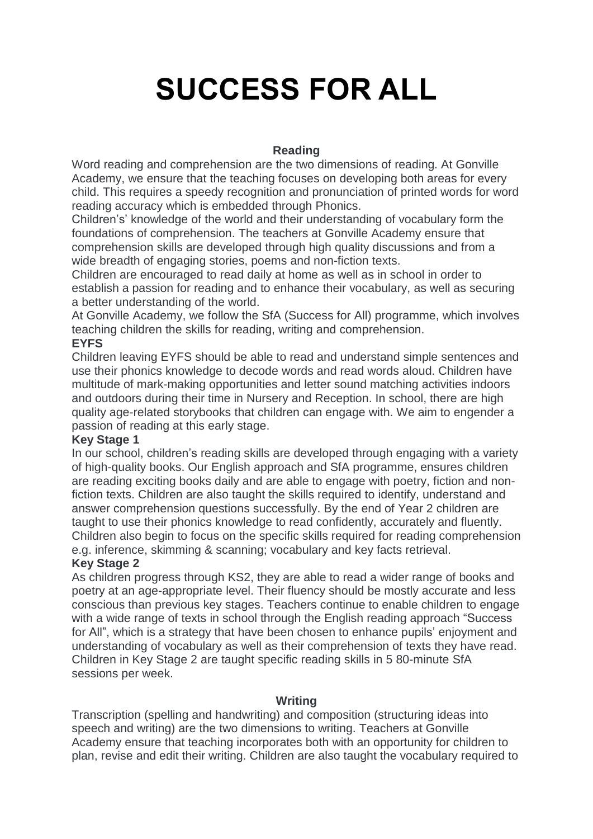# **SUCCESS FOR ALL**

## **Reading**

Word reading and comprehension are the two dimensions of reading. At Gonville Academy, we ensure that the teaching focuses on developing both areas for every child. This requires a speedy recognition and pronunciation of printed words for word reading accuracy which is embedded through Phonics.

Children's' knowledge of the world and their understanding of vocabulary form the foundations of comprehension. The teachers at Gonville Academy ensure that comprehension skills are developed through high quality discussions and from a wide breadth of engaging stories, poems and non-fiction texts.

Children are encouraged to read daily at home as well as in school in order to establish a passion for reading and to enhance their vocabulary, as well as securing a better understanding of the world.

At Gonville Academy, we follow the SfA (Success for All) programme, which involves teaching children the skills for reading, writing and comprehension.

#### **EYFS**

Children leaving EYFS should be able to read and understand simple sentences and use their phonics knowledge to decode words and read words aloud. Children have multitude of mark-making opportunities and letter sound matching activities indoors and outdoors during their time in Nursery and Reception. In school, there are high quality age-related storybooks that children can engage with. We aim to engender a passion of reading at this early stage.

#### **Key Stage 1**

In our school, children's reading skills are developed through engaging with a variety of high-quality books. Our English approach and SfA programme, ensures children are reading exciting books daily and are able to engage with poetry, fiction and nonfiction texts. Children are also taught the skills required to identify, understand and answer comprehension questions successfully. By the end of Year 2 children are taught to use their phonics knowledge to read confidently, accurately and fluently. Children also begin to focus on the specific skills required for reading comprehension e.g. inference, skimming & scanning; vocabulary and key facts retrieval.

# **Key Stage 2**

As children progress through KS2, they are able to read a wider range of books and poetry at an age-appropriate level. Their fluency should be mostly accurate and less conscious than previous key stages. Teachers continue to enable children to engage with a wide range of texts in school through the English reading approach "Success for All", which is a strategy that have been chosen to enhance pupils' enjoyment and understanding of vocabulary as well as their comprehension of texts they have read. Children in Key Stage 2 are taught specific reading skills in 5 80-minute SfA sessions per week.

#### **Writing**

Transcription (spelling and handwriting) and composition (structuring ideas into speech and writing) are the two dimensions to writing. Teachers at Gonville Academy ensure that teaching incorporates both with an opportunity for children to plan, revise and edit their writing. Children are also taught the vocabulary required to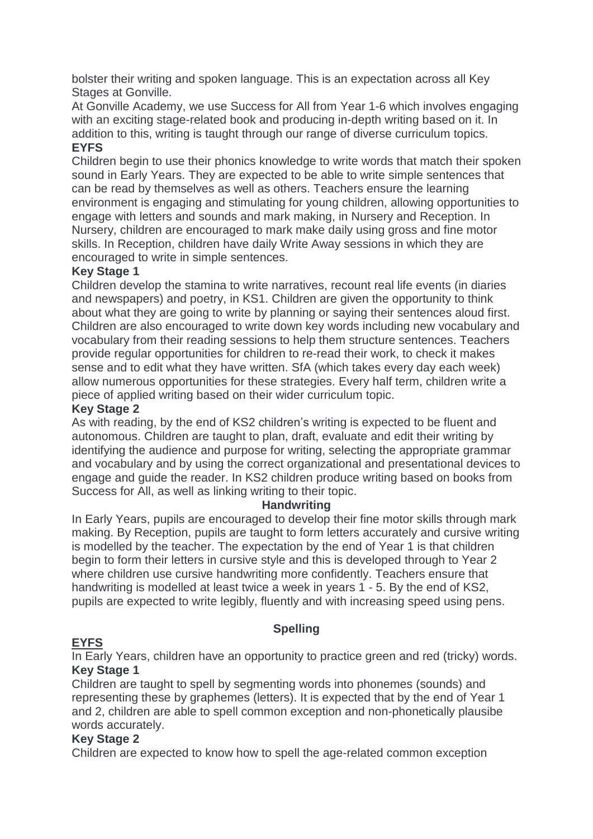bolster their writing and spoken language. This is an expectation across all Key Stages at Gonville.

At Gonville Academy, we use Success for All from Year 1-6 which involves engaging with an exciting stage-related book and producing in-depth writing based on it. In addition to this, writing is taught through our range of diverse curriculum topics.

# **EYFS**

Children begin to use their phonics knowledge to write words that match their spoken sound in Early Years. They are expected to be able to write simple sentences that can be read by themselves as well as others. Teachers ensure the learning environment is engaging and stimulating for young children, allowing opportunities to engage with letters and sounds and mark making, in Nursery and Reception. In Nursery, children are encouraged to mark make daily using gross and fine motor skills. In Reception, children have daily Write Away sessions in which they are encouraged to write in simple sentences.

### **Key Stage 1**

Children develop the stamina to write narratives, recount real life events (in diaries and newspapers) and poetry, in KS1. Children are given the opportunity to think about what they are going to write by planning or saying their sentences aloud first. Children are also encouraged to write down key words including new vocabulary and vocabulary from their reading sessions to help them structure sentences. Teachers provide regular opportunities for children to re-read their work, to check it makes sense and to edit what they have written. SfA (which takes every day each week) allow numerous opportunities for these strategies. Every half term, children write a piece of applied writing based on their wider curriculum topic.

### **Key Stage 2**

As with reading, by the end of KS2 children's writing is expected to be fluent and autonomous. Children are taught to plan, draft, evaluate and edit their writing by identifying the audience and purpose for writing, selecting the appropriate grammar and vocabulary and by using the correct organizational and presentational devices to engage and guide the reader. In KS2 children produce writing based on books from Success for All, as well as linking writing to their topic.

#### **Handwriting**

In Early Years, pupils are encouraged to develop their fine motor skills through mark making. By Reception, pupils are taught to form letters accurately and cursive writing is modelled by the teacher. The expectation by the end of Year 1 is that children begin to form their letters in cursive style and this is developed through to Year 2 where children use cursive handwriting more confidently. Teachers ensure that handwriting is modelled at least twice a week in years 1 - 5. By the end of KS2, pupils are expected to write legibly, fluently and with increasing speed using pens.

# **Spelling**

# **EYFS**

In Early Years, children have an opportunity to practice green and red (tricky) words. **Key Stage 1**

Children are taught to spell by segmenting words into phonemes (sounds) and representing these by graphemes (letters). It is expected that by the end of Year 1 and 2, children are able to spell common exception and non-phonetically plausibe words accurately.

#### **Key Stage 2**

Children are expected to know how to spell the age-related common exception